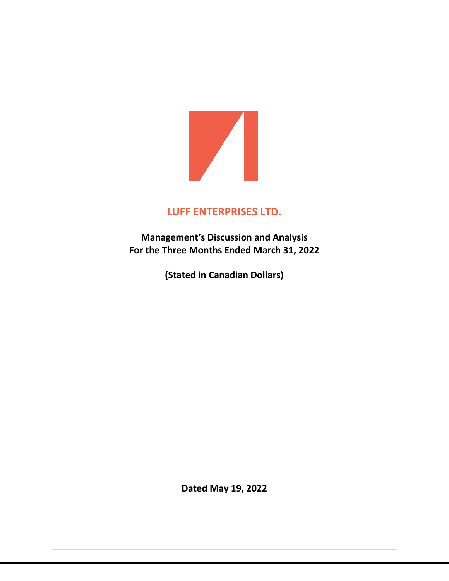

# **LUFF ENTERPRISES LTD.**

**Management's Discussion and Analysis For the Three Months Ended March 31, 2022**

**(Stated in Canadian Dollars)**

**Dated May 19, 2022**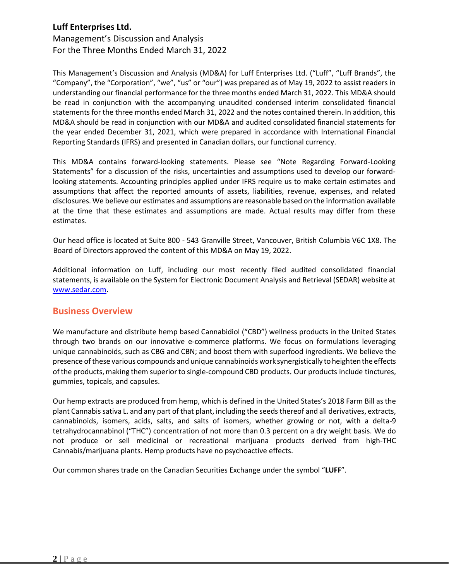This Management's Discussion and Analysis (MD&A) for Luff Enterprises Ltd. ("Luff", "Luff Brands", the "Company", the "Corporation", "we", "us" or "our") was prepared as of May 19, 2022 to assist readers in understanding our financial performance for the three months ended March 31, 2022. This MD&A should be read in conjunction with the accompanying unaudited condensed interim consolidated financial statements for the three months ended March 31, 2022 and the notes contained therein. In addition, this MD&A should be read in conjunction with our MD&A and audited consolidated financial statements for the year ended December 31, 2021, which were prepared in accordance with International Financial Reporting Standards (IFRS) and presented in Canadian dollars, our functional currency.

This MD&A contains forward-looking statements. Please see "Note Regarding Forward-Looking Statements" for a discussion of the risks, uncertainties and assumptions used to develop our forwardlooking statements. Accounting principles applied under IFRS require us to make certain estimates and assumptions that affect the reported amounts of assets, liabilities, revenue, expenses, and related disclosures. We believe our estimates and assumptions are reasonable based on the information available at the time that these estimates and assumptions are made. Actual results may differ from these estimates.

Our head office is located at Suite 800 - 543 Granville Street, Vancouver, British Columbia V6C 1X8. The Board of Directors approved the content of this MD&A on May 19, 2022.

Additional information on Luff, including our most recently filed audited consolidated financial statements, is available on the System for Electronic Document Analysis and Retrieval (SEDAR) website at [www.sedar.com.](http://www.sedar.com/)

### **Business Overview**

We manufacture and distribute hemp based Cannabidiol ("CBD") wellness products in the United States through two brands on our innovative e-commerce platforms. We focus on formulations leveraging unique cannabinoids, such as CBG and CBN; and boost them with superfood ingredients. We believe the presence of these various compounds and unique cannabinoids work synergistically to heighten the effects ofthe products,making them superiorto single-compound CBD products. Our products include tinctures, gummies, topicals, and capsules.

Our hemp extracts are produced from hemp, which is defined in the United States's 2018 Farm Bill as the plant Cannabis sativa L. and any part of that plant, including the seeds thereof and all derivatives, extracts, cannabinoids, isomers, acids, salts, and salts of isomers, whether growing or not, with a delta-9 tetrahydrocannabinol ("THC") concentration of not more than 0.3 percent on a dry weight basis. We do not produce or sell medicinal or recreational marijuana products derived from high-THC Cannabis/marijuana plants. Hemp products have no psychoactive effects.

Our common shares trade on the Canadian Securities Exchange under the symbol "**LUFF**".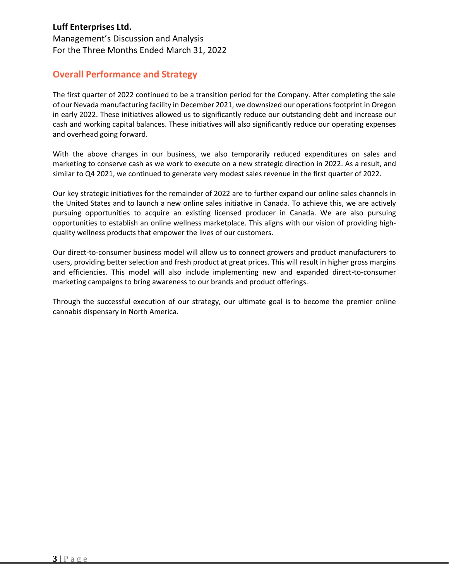# **Overall Performance and Strategy**

The first quarter of 2022 continued to be a transition period for the Company. After completing the sale of our Nevada manufacturing facility in December 2021, we downsized our operations footprint in Oregon in early 2022. These initiatives allowed us to significantly reduce our outstanding debt and increase our cash and working capital balances. These initiatives will also significantly reduce our operating expenses and overhead going forward.

With the above changes in our business, we also temporarily reduced expenditures on sales and marketing to conserve cash as we work to execute on a new strategic direction in 2022. As a result, and similar to Q4 2021, we continued to generate very modest sales revenue in the first quarter of 2022.

Our key strategic initiatives for the remainder of 2022 are to further expand our online sales channels in the United States and to launch a new online sales initiative in Canada. To achieve this, we are actively pursuing opportunities to acquire an existing licensed producer in Canada. We are also pursuing opportunities to establish an online wellness marketplace. This aligns with our vision of providing highquality wellness products that empower the lives of our customers.

Our direct-to-consumer business model will allow us to connect growers and product manufacturers to users, providing better selection and fresh product at great prices. This will result in higher gross margins and efficiencies. This model will also include implementing new and expanded direct-to-consumer marketing campaigns to bring awareness to our brands and product offerings.

Through the successful execution of our strategy, our ultimate goal is to become the premier online cannabis dispensary in North America.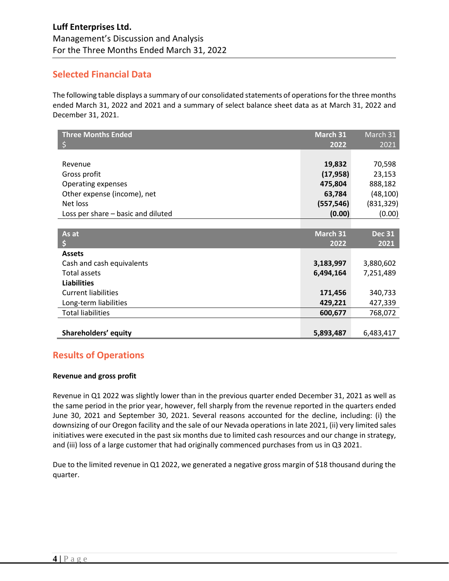## **Selected Financial Data**

The following table displays a summary of our consolidated statements of operationsfor the three months ended March 31, 2022 and 2021 and a summary of select balance sheet data as at March 31, 2022 and December 31, 2021.

| <b>Three Months Ended</b>          | March 31   | March 31      |
|------------------------------------|------------|---------------|
| \$                                 | 2022       | 2021          |
|                                    |            |               |
| Revenue                            | 19,832     | 70,598        |
| Gross profit                       | (17, 958)  | 23,153        |
| Operating expenses                 | 475,804    | 888,182       |
| Other expense (income), net        | 63,784     | (48, 100)     |
| Net loss                           | (557, 546) | (831, 329)    |
| Loss per share - basic and diluted | (0.00)     | (0.00)        |
|                                    |            |               |
| As at                              | March 31   | <b>Dec 31</b> |
| \$                                 | 2022       | 2021          |
| <b>Assets</b>                      |            |               |
| Cash and cash equivalents          | 3,183,997  | 3,880,602     |
| Total assets                       | 6,494,164  | 7,251,489     |
| <b>Liabilities</b>                 |            |               |
| <b>Current liabilities</b>         | 171,456    | 340,733       |
| Long-term liabilities              | 429,221    | 427,339       |
| <b>Total liabilities</b>           | 600,677    | 768,072       |
|                                    |            |               |
| Shareholders' equity               | 5,893,487  | 6,483,417     |

# **Results of Operations**

### **Revenue and gross profit**

Revenue in Q1 2022 was slightly lower than in the previous quarter ended December 31, 2021 as well as the same period in the prior year, however, fell sharply from the revenue reported in the quarters ended June 30, 2021 and September 30, 2021. Several reasons accounted for the decline, including: (i) the downsizing of our Oregon facility and the sale of our Nevada operations in late 2021, (ii) very limited sales initiatives were executed in the past six months due to limited cash resources and our change in strategy, and (iii) loss of a large customer that had originally commenced purchases from us in Q3 2021.

Due to the limited revenue in Q1 2022, we generated a negative gross margin of \$18 thousand during the quarter.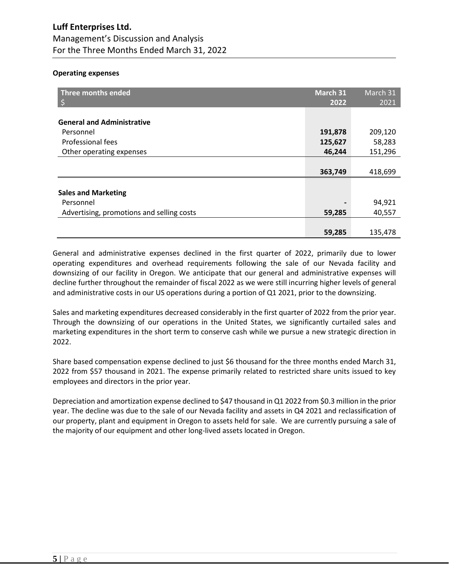#### **Operating expenses**

| Three months ended<br>l\$                 | March 31<br>2022 | March 31<br>2021 |
|-------------------------------------------|------------------|------------------|
| <b>General and Administrative</b>         |                  |                  |
| Personnel                                 | 191,878          | 209,120          |
| Professional fees                         | 125,627          | 58,283           |
| Other operating expenses                  | 46,244           | 151,296          |
|                                           |                  |                  |
|                                           | 363,749          | 418,699          |
|                                           |                  |                  |
| <b>Sales and Marketing</b>                |                  |                  |
| Personnel                                 |                  | 94,921           |
| Advertising, promotions and selling costs | 59,285           | 40,557           |
|                                           |                  |                  |
|                                           | 59,285           | 135,478          |

General and administrative expenses declined in the first quarter of 2022, primarily due to lower operating expenditures and overhead requirements following the sale of our Nevada facility and downsizing of our facility in Oregon. We anticipate that our general and administrative expenses will decline further throughout the remainder of fiscal 2022 as we were still incurring higher levels of general and administrative costs in our US operations during a portion of Q1 2021, prior to the downsizing.

Sales and marketing expenditures decreased considerably in the first quarter of 2022 from the prior year. Through the downsizing of our operations in the United States, we significantly curtailed sales and marketing expenditures in the short term to conserve cash while we pursue a new strategic direction in 2022.

Share based compensation expense declined to just \$6 thousand for the three months ended March 31, 2022 from \$57 thousand in 2021. The expense primarily related to restricted share units issued to key employees and directors in the prior year.

Depreciation and amortization expense declined to \$47 thousand in Q1 2022 from \$0.3 million in the prior year. The decline was due to the sale of our Nevada facility and assets in Q4 2021 and reclassification of our property, plant and equipment in Oregon to assets held for sale. We are currently pursuing a sale of the majority of our equipment and other long-lived assets located in Oregon.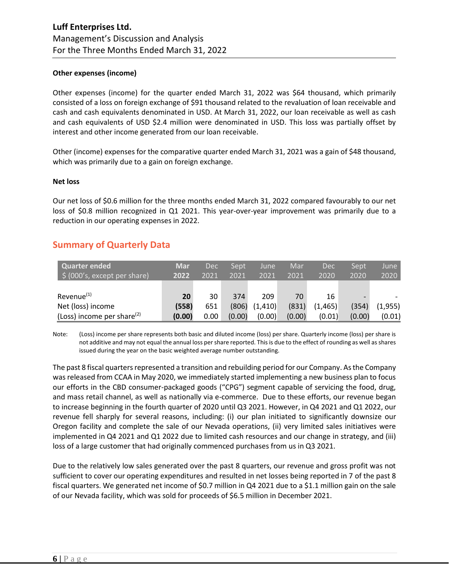#### **Other expenses (income)**

Other expenses (income) for the quarter ended March 31, 2022 was \$64 thousand, which primarily consisted of a loss on foreign exchange of \$91 thousand related to the revaluation of loan receivable and cash and cash equivalents denominated in USD. At March 31, 2022, our loan receivable as well as cash and cash equivalents of USD \$2.4 million were denominated in USD. This loss was partially offset by interest and other income generated from our loan receivable.

Other (income) expenses for the comparative quarter ended March 31, 2021 was a gain of \$48 thousand, which was primarily due to a gain on foreign exchange.

#### **Net loss**

Our net loss of \$0.6 million for the three months ended March 31, 2022 compared favourably to our net loss of \$0.8 million recognized in Q1 2021. This year-over-year improvement was primarily due to a reduction in our operating expenses in 2022.

## **Summary of Quarterly Data**

| Quarter ended<br>$\frac{1}{2}$ (000's, except per share) | <b>Mar</b><br>2022 | <b>Dec</b><br>2021 | Sept<br>2021 | June<br>2021 | Mar<br>2021 | <b>Dec</b><br>2020 | Sept<br>2020 | June<br>2020 |
|----------------------------------------------------------|--------------------|--------------------|--------------|--------------|-------------|--------------------|--------------|--------------|
| Revenue <sup>(1)</sup>                                   | 20                 | 30                 | 374          | 209          | 70          | 16                 |              |              |
| Net (loss) income                                        | (558)              | 651                | (806)        | (1, 410)     | (831)       | (1, 465)           | (354)        | (1,955)      |
| (Loss) income per share $(2)$                            | (0.00)             | 0.00               | (0.00)       | (0.00)       | (0.00)      | (0.01)             | (0.00)       | (0.01)       |

Note: (Loss) income per share represents both basic and diluted income (loss) per share. Quarterly income (loss) per share is not additive and may not equal the annual loss per share reported. This is due to the effect of rounding as well as shares issued during the year on the basic weighted average number outstanding.

The past 8 fiscal quarters represented a transition and rebuilding period for our Company. As the Company was released from CCAA in May 2020, we immediately started implementing a new business plan to focus our efforts in the CBD consumer-packaged goods ("CPG") segment capable of servicing the food, drug, and mass retail channel, as well as nationally via e-commerce. Due to these efforts, our revenue began to increase beginning in the fourth quarter of 2020 until Q3 2021. However, in Q4 2021 and Q1 2022, our revenue fell sharply for several reasons, including: (i) our plan initiated to significantly downsize our Oregon facility and complete the sale of our Nevada operations, (ii) very limited sales initiatives were implemented in Q4 2021 and Q1 2022 due to limited cash resources and our change in strategy, and (iii) loss of a large customer that had originally commenced purchases from us in Q3 2021.

Due to the relatively low sales generated over the past 8 quarters, our revenue and gross profit was not sufficient to cover our operating expenditures and resulted in net losses being reported in 7 of the past 8 fiscal quarters. We generated net income of \$0.7 million in Q4 2021 due to a \$1.1 million gain on the sale of our Nevada facility, which was sold for proceeds of \$6.5 million in December 2021.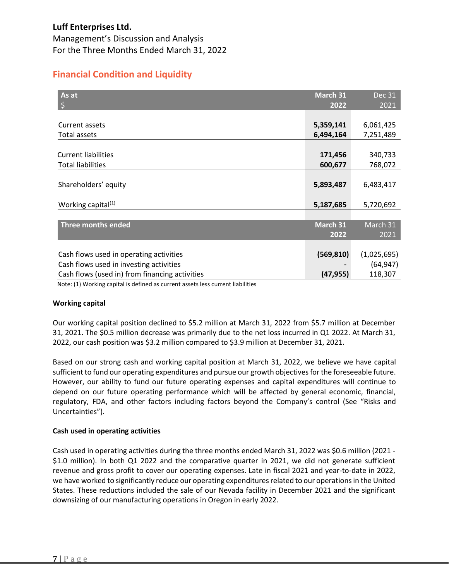# **Financial Condition and Liquidity**

| As at<br>\$                                    | March 31<br>2022 | <b>Dec 31</b><br>2021 |
|------------------------------------------------|------------------|-----------------------|
|                                                |                  |                       |
| Current assets                                 | 5,359,141        | 6,061,425             |
| Total assets                                   | 6,494,164        | 7,251,489             |
|                                                |                  |                       |
| <b>Current liabilities</b>                     | 171,456          | 340,733               |
| <b>Total liabilities</b>                       | 600,677          | 768,072               |
|                                                |                  |                       |
| Shareholders' equity                           | 5,893,487        | 6,483,417             |
|                                                |                  |                       |
| Working capital <sup>(1)</sup>                 | 5,187,685        | 5,720,692             |
|                                                |                  |                       |
| Three months ended                             | March 31         | March 31              |
|                                                | 2022             | 2021                  |
|                                                |                  |                       |
| Cash flows used in operating activities        | (569, 810)       | (1,025,695)           |
| Cash flows used in investing activities        |                  | (64, 947)             |
| Cash flows (used in) from financing activities | (47, 955)        | 118,307               |

Note: (1) Working capital is defined as current assets less current liabilities

### **Working capital**

Our working capital position declined to \$5.2 million at March 31, 2022 from \$5.7 million at December 31, 2021. The \$0.5 million decrease was primarily due to the net loss incurred in Q1 2022. At March 31, 2022, our cash position was \$3.2 million compared to \$3.9 million at December 31, 2021.

Based on our strong cash and working capital position at March 31, 2022, we believe we have capital sufficient to fund our operating expenditures and pursue our growth objectives for the foreseeable future. However, our ability to fund our future operating expenses and capital expenditures will continue to depend on our future operating performance which will be affected by general economic, financial, regulatory, FDA, and other factors including factors beyond the Company's control (See "Risks and Uncertainties").

### **Cash used in operating activities**

Cash used in operating activities during the three months ended March 31, 2022 was \$0.6 million (2021 - \$1.0 million). In both Q1 2022 and the comparative quarter in 2021, we did not generate sufficient revenue and gross profit to cover our operating expenses. Late in fiscal 2021 and year-to-date in 2022, we have worked to significantly reduce our operating expenditures related to our operations in the United States. These reductions included the sale of our Nevada facility in December 2021 and the significant downsizing of our manufacturing operations in Oregon in early 2022.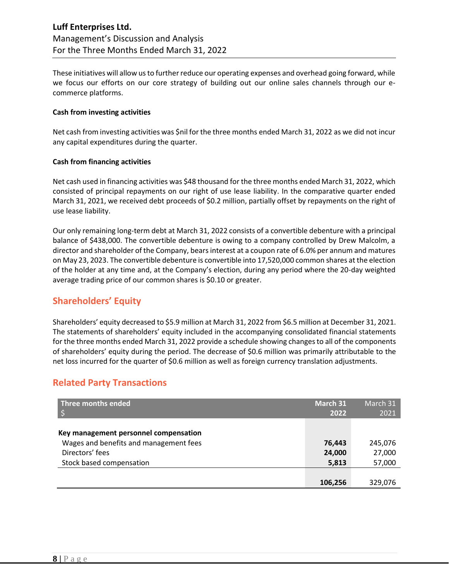These initiatives will allow us to further reduce our operating expenses and overhead going forward, while we focus our efforts on our core strategy of building out our online sales channels through our ecommerce platforms.

#### **Cash from investing activities**

Net cash from investing activities was \$nil forthe three months ended March 31, 2022 as we did not incur any capital expenditures during the quarter.

#### **Cash from financing activities**

Net cash used in financing activities was \$48 thousand for the three months ended March 31, 2022, which consisted of principal repayments on our right of use lease liability. In the comparative quarter ended March 31, 2021, we received debt proceeds of \$0.2 million, partially offset by repayments on the right of use lease liability.

Our only remaining long-term debt at March 31, 2022 consists of a convertible debenture with a principal balance of \$438,000. The convertible debenture is owing to a company controlled by Drew Malcolm, a director and shareholder of the Company, bears interest at a coupon rate of 6.0% per annum and matures on May 23, 2023. The convertible debenture is convertible into 17,520,000 common shares at the election of the holder at any time and, at the Company's election, during any period where the 20-day weighted average trading price of our common shares is \$0.10 or greater.

## **Shareholders' Equity**

Shareholders' equity decreased to \$5.9 million at March 31, 2022 from \$6.5 million at December 31, 2021. The statements of shareholders' equity included in the accompanying consolidated financial statements for the three months ended March 31, 2022 provide a schedule showing changes to all of the components of shareholders' equity during the period. The decrease of \$0.6 million was primarily attributable to the net loss incurred for the quarter of \$0.6 million as well as foreign currency translation adjustments.

## **Related Party Transactions**

| Three months ended                                        | March 31<br>2022 | March 31<br>2021  |
|-----------------------------------------------------------|------------------|-------------------|
| Key management personnel compensation                     |                  |                   |
| Wages and benefits and management fees<br>Directors' fees | 76,443<br>24,000 | 245,076<br>27,000 |
| Stock based compensation                                  | 5,813            | 57,000            |
|                                                           |                  |                   |
|                                                           | 106,256          | 329,076           |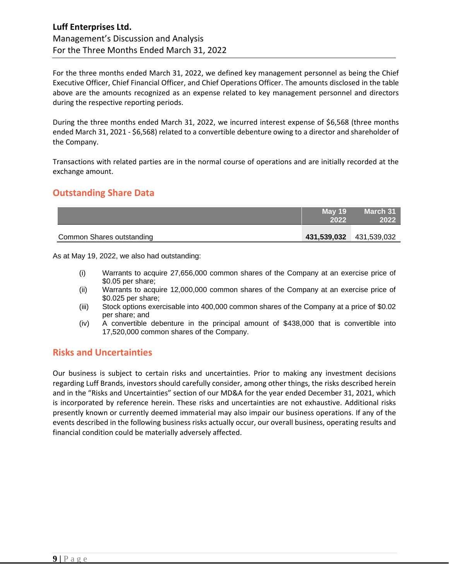For the three months ended March 31, 2022, we defined key management personnel as being the Chief Executive Officer, Chief Financial Officer, and Chief Operations Officer. The amounts disclosed in the table above are the amounts recognized as an expense related to key management personnel and directors during the respective reporting periods.

During the three months ended March 31, 2022, we incurred interest expense of \$6,568 (three months ended March 31, 2021 - \$6,568) related to a convertible debenture owing to a director and shareholder of the Company.

Transactions with related parties are in the normal course of operations and are initially recorded at the exchange amount.

## **Outstanding Share Data**

|                           | May 19<br>2022 | March 31                |
|---------------------------|----------------|-------------------------|
| Common Shares outstanding |                | 431,539,032 431,539,032 |

As at May 19, 2022, we also had outstanding:

- (i) Warrants to acquire 27,656,000 common shares of the Company at an exercise price of \$0.05 per share;
- (ii) Warrants to acquire 12,000,000 common shares of the Company at an exercise price of \$0.025 per share;
- (iii) Stock options exercisable into 400,000 common shares of the Company at a price of \$0.02 per share; and
- (iv) A convertible debenture in the principal amount of \$438,000 that is convertible into 17,520,000 common shares of the Company.

### **Risks and Uncertainties**

Our business is subject to certain risks and uncertainties. Prior to making any investment decisions regarding Luff Brands, investors should carefully consider, among other things, the risks described herein and in the "Risks and Uncertainties" section of our MD&A for the year ended December 31, 2021, which is incorporated by reference herein. These risks and uncertainties are not exhaustive. Additional risks presently known or currently deemed immaterial may also impair our business operations. If any of the events described in the following business risks actually occur, our overall business, operating results and financial condition could be materially adversely affected.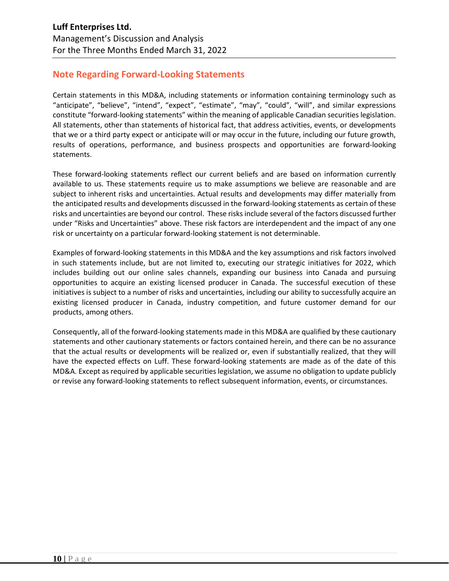# **Note Regarding Forward-Looking Statements**

Certain statements in this MD&A, including statements or information containing terminology such as "anticipate", "believe", "intend", "expect", "estimate", "may", "could", "will", and similar expressions constitute "forward-looking statements" within the meaning of applicable Canadian securities legislation. All statements, other than statements of historical fact, that address activities, events, or developments that we or a third party expect or anticipate will or may occur in the future, including our future growth, results of operations, performance, and business prospects and opportunities are forward-looking statements.

These forward-looking statements reflect our current beliefs and are based on information currently available to us. These statements require us to make assumptions we believe are reasonable and are subject to inherent risks and uncertainties. Actual results and developments may differ materially from the anticipated results and developments discussed in the forward-looking statements as certain of these risks and uncertainties are beyond our control. These risks include several of the factors discussed further under "Risks and Uncertainties" above. These risk factors are interdependent and the impact of any one risk or uncertainty on a particular forward-looking statement is not determinable.

Examples of forward-looking statements in this MD&A and the key assumptions and risk factors involved in such statements include, but are not limited to, executing our strategic initiatives for 2022, which includes building out our online sales channels, expanding our business into Canada and pursuing opportunities to acquire an existing licensed producer in Canada. The successful execution of these initiatives is subject to a number of risks and uncertainties, including our ability to successfully acquire an existing licensed producer in Canada, industry competition, and future customer demand for our products, among others.

Consequently, all of the forward-looking statements made in this MD&A are qualified by these cautionary statements and other cautionary statements or factors contained herein, and there can be no assurance that the actual results or developments will be realized or, even if substantially realized, that they will have the expected effects on Luff. These forward-looking statements are made as of the date of this MD&A. Except as required by applicable securities legislation, we assume no obligation to update publicly or revise any forward-looking statements to reflect subsequent information, events, or circumstances.